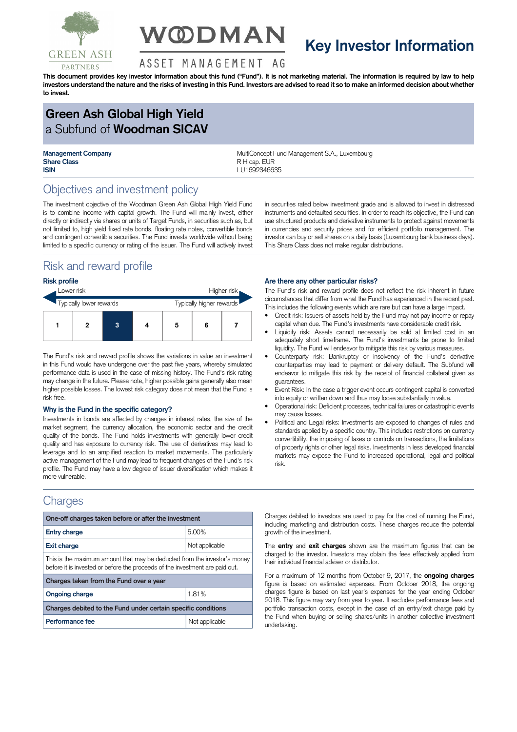

# **V@DMAN**

## **Key Investor Information**

#### ASSET MANAGEMENT AG

This document provides key investor information about this fund ("Fund"). It is not marketing material. The information is required by law to help investors understand the nature and the risks of investing in this Fund. Investors are advised to read it so to make an informed decision about whether **to invest.**

## **Green Ash Global High Yield** a Subfund of **Woodman SICAV**

**Share Class** R H cap. EUR **ISIN** LU1692346635

**Management Company MultiConcept Fund Management S.A., Luxembourg** 

## Objectives and investment policy

The investment objective of the Woodman Green Ash Global High Yield Fund is to combine income with capital growth. The Fund will mainly invest, either directly or indirectly via shares or units of Target Funds, in securities such as, but not limited to, high yield fixed rate bonds, floating rate notes, convertible bonds and contingent convertible securities. The Fund invests worldwide without being limited to a specific currency or rating of the issuer. The Fund will actively invest

## Risk and reward profile

#### **Risk profile**

| Lower risk              |  |   |                          | Higher risk |   |  |
|-------------------------|--|---|--------------------------|-------------|---|--|
| Typically lower rewards |  |   | Typically higher rewards |             |   |  |
|                         |  | 3 |                          | 5           | 6 |  |

The Fund's risk and reward profile shows the variations in value an investment in this Fund would have undergone over the past five years, whereby simulated performance data is used in the case of missing history. The Fund's risk rating may change in the future. Please note, higher possible gains generally also mean higher possible losses. The lowest risk category does not mean that the Fund is risk free.

#### **Why is the Fund in the specific category?**

Investments in bonds are affected by changes in interest rates, the size of the market segment, the currency allocation, the economic sector and the credit quality of the bonds. The Fund holds investments with generally lower credit quality and has exposure to currency risk. The use of derivatives may lead to leverage and to an amplified reaction to market movements. The particularly active management of the Fund may lead to frequent changes of the Fund's risk profile. The Fund may have a low degree of issuer diversification which makes it more vulnerable.

### **Charges**

| One-off charges taken before or after the investment                                                                                                      |                |  |  |  |  |
|-----------------------------------------------------------------------------------------------------------------------------------------------------------|----------------|--|--|--|--|
| <b>Entry charge</b>                                                                                                                                       | 5.00%          |  |  |  |  |
| <b>Exit charge</b>                                                                                                                                        | Not applicable |  |  |  |  |
| This is the maximum amount that may be deducted from the investor's money<br>before it is invested or before the proceeds of the investment are paid out. |                |  |  |  |  |
| Charges taken from the Fund over a year                                                                                                                   |                |  |  |  |  |
| <b>Ongoing charge</b>                                                                                                                                     | 1.81%          |  |  |  |  |
| Charges debited to the Fund under certain specific conditions                                                                                             |                |  |  |  |  |
| Performance fee                                                                                                                                           | Not applicable |  |  |  |  |

in securities rated below investment grade and is allowed to invest in distressed instruments and defaulted securities. In order to reach its objective, the Fund can use structured products and derivative instruments to protect against movements in currencies and security prices and for efficient portfolio management. The investor can buy or sell shares on a daily basis (Luxembourg bank business days). This Share Class does not make regular distributions.

#### **Are there any other particular risks?**

The Fund's risk and reward profile does not reflect the risk inherent in future circumstances that differ from what the Fund has experienced in the recent past. This includes the following events which are rare but can have a large impact.

- Credit risk: Issuers of assets held by the Fund may not pay income or repay capital when due. The Fund's investments have considerable credit risk.
- Liquidity risk: Assets cannot necessarily be sold at limited cost in an adequately short timeframe. The Fund's investments be prone to limited liquidity. The Fund will endeavor to mitigate this risk by various measures.
- Counterparty risk: Bankruptcy or insolvency of the Fund's derivative counterparties may lead to payment or delivery default. The Subfund will endeavor to mitigate this risk by the receipt of financial collateral given as guarantees.
- Event Risk: In the case a trigger event occurs contingent capital is converted into equity or written down and thus may loose substantially in value.
- Operational risk: Deficient processes, technical failures or catastrophic events may cause losses.
- Political and Legal risks: Investments are exposed to changes of rules and standards applied by a specific country. This includes restrictions on currency convertibility, the imposing of taxes or controls on transactions, the limitations of property rights or other legal risks. Investments in less developed financial markets may expose the Fund to increased operational, legal and political risk.

Charges debited to investors are used to pay for the cost of running the Fund, including marketing and distribution costs. These charges reduce the potential growth of the investment.

The **entry** and **exit charges** shown are the maximum figures that can be charged to the investor. Investors may obtain the fees effectively applied from their individual financial adviser or distributor.

For a maximum of 12 months from October 9, 2017, the **ongoing charges** figure is based on estimated expenses. From October 2018, the ongoing charges figure is based on last year's expenses for the year ending October 2018. This figure may vary from year to year. It excludes performance fees and portfolio transaction costs, except in the case of an entry/exit charge paid by the Fund when buying or selling shares/units in another collective investment undertaking.